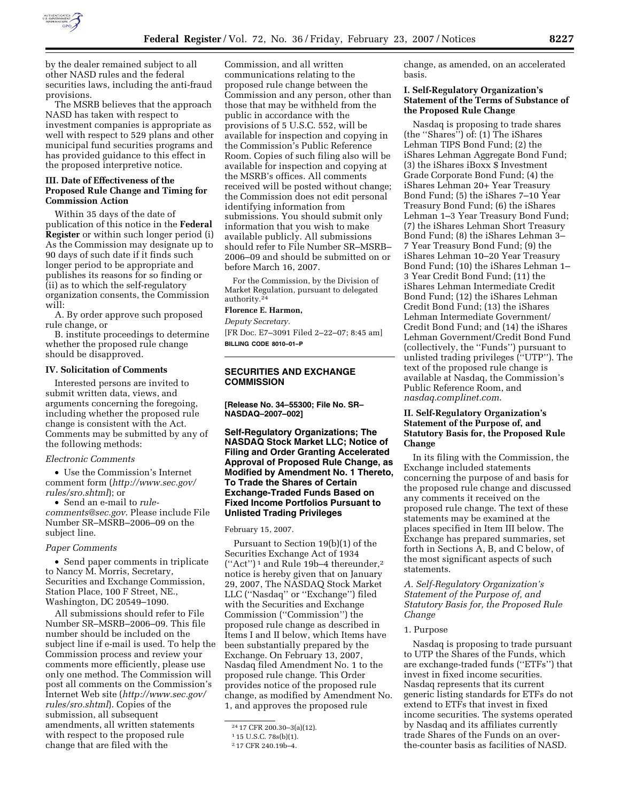

by the dealer remained subject to all other NASD rules and the federal securities laws, including the anti-fraud provisions.

The MSRB believes that the approach NASD has taken with respect to investment companies is appropriate as well with respect to 529 plans and other municipal fund securities programs and has provided guidance to this effect in the proposed interpretive notice.

### **III. Date of Effectiveness of the Proposed Rule Change and Timing for Commission Action**

Within 35 days of the date of publication of this notice in the **Federal Register** or within such longer period (i) As the Commission may designate up to 90 days of such date if it finds such longer period to be appropriate and publishes its reasons for so finding or (ii) as to which the self-regulatory organization consents, the Commission will:

A. By order approve such proposed rule change, or

B. institute proceedings to determine whether the proposed rule change should be disapproved.

#### **IV. Solicitation of Comments**

Interested persons are invited to submit written data, views, and arguments concerning the foregoing, including whether the proposed rule change is consistent with the Act. Comments may be submitted by any of the following methods:

### *Electronic Comments*

• Use the Commission's Internet comment form (*http://www.sec.gov/ rules/sro.shtml*); or

• Send an e-mail to *rulecomments@sec.gov*. Please include File Number SR–MSRB–2006–09 on the subject line.

#### *Paper Comments*

• Send paper comments in triplicate to Nancy M. Morris, Secretary, Securities and Exchange Commission, Station Place, 100 F Street, NE., Washington, DC 20549–1090.

All submissions should refer to File Number SR–MSRB–2006–09. This file number should be included on the subject line if e-mail is used. To help the Commission process and review your comments more efficiently, please use only one method. The Commission will post all comments on the Commission's Internet Web site (*http://www.sec.gov/ rules/sro.shtml*). Copies of the submission, all subsequent amendments, all written statements with respect to the proposed rule change that are filed with the

Commission, and all written communications relating to the proposed rule change between the Commission and any person, other than those that may be withheld from the public in accordance with the provisions of 5 U.S.C. 552, will be available for inspection and copying in the Commission's Public Reference Room. Copies of such filing also will be available for inspection and copying at the MSRB's offices. All comments received will be posted without change; the Commission does not edit personal identifying information from submissions. You should submit only information that you wish to make available publicly. All submissions should refer to File Number SR–MSRB– 2006–09 and should be submitted on or before March 16, 2007.

For the Commission, by the Division of Market Regulation, pursuant to delegated authority.24

# **Florence E. Harmon,**

*Deputy Secretary.*  [FR Doc. E7–3091 Filed 2–22–07; 8:45 am] **BILLING CODE 8010–01–P** 

# **SECURITIES AND EXCHANGE COMMISSION**

**[Release No. 34–55300; File No. SR– NASDAQ–2007–002]** 

**Self-Regulatory Organizations; The NASDAQ Stock Market LLC; Notice of Filing and Order Granting Accelerated Approval of Proposed Rule Change, as Modified by Amendment No. 1 Thereto, To Trade the Shares of Certain Exchange-Traded Funds Based on Fixed Income Portfolios Pursuant to Unlisted Trading Privileges** 

February 15, 2007.

Pursuant to Section 19(b)(1) of the Securities Exchange Act of 1934 (''Act'') 1 and Rule 19b–4 thereunder,2 notice is hereby given that on January 29, 2007, The NASDAQ Stock Market LLC (''Nasdaq'' or ''Exchange'') filed with the Securities and Exchange Commission (''Commission'') the proposed rule change as described in Items I and II below, which Items have been substantially prepared by the Exchange. On February 13, 2007, Nasdaq filed Amendment No. 1 to the proposed rule change. This Order provides notice of the proposed rule change, as modified by Amendment No. 1, and approves the proposed rule

change, as amended, on an accelerated basis.

## **I. Self-Regulatory Organization's Statement of the Terms of Substance of the Proposed Rule Change**

Nasdaq is proposing to trade shares (the ''Shares'') of: (1) The iShares Lehman TIPS Bond Fund; (2) the iShares Lehman Aggregate Bond Fund; (3) the iShares iBoxx \$ Investment Grade Corporate Bond Fund; (4) the iShares Lehman 20+ Year Treasury Bond Fund; (5) the iShares 7–10 Year Treasury Bond Fund; (6) the iShares Lehman 1–3 Year Treasury Bond Fund; (7) the iShares Lehman Short Treasury Bond Fund; (8) the iShares Lehman 3– 7 Year Treasury Bond Fund; (9) the iShares Lehman 10–20 Year Treasury Bond Fund; (10) the iShares Lehman 1– 3 Year Credit Bond Fund; (11) the iShares Lehman Intermediate Credit Bond Fund; (12) the iShares Lehman Credit Bond Fund; (13) the iShares Lehman Intermediate Government/ Credit Bond Fund; and (14) the iShares Lehman Government/Credit Bond Fund (collectively, the ''Funds'') pursuant to unlisted trading privileges (''UTP''). The text of the proposed rule change is available at Nasdaq, the Commission's Public Reference Room, and *nasdaq.complinet.com*.

## **II. Self-Regulatory Organization's Statement of the Purpose of, and Statutory Basis for, the Proposed Rule Change**

In its filing with the Commission, the Exchange included statements concerning the purpose of and basis for the proposed rule change and discussed any comments it received on the proposed rule change. The text of these statements may be examined at the places specified in Item III below. The Exchange has prepared summaries, set forth in Sections A, B, and C below, of the most significant aspects of such statements.

*A. Self-Regulatory Organization's Statement of the Purpose of, and Statutory Basis for, the Proposed Rule Change* 

#### 1. Purpose

Nasdaq is proposing to trade pursuant to UTP the Shares of the Funds, which are exchange-traded funds (''ETFs'') that invest in fixed income securities. Nasdaq represents that its current generic listing standards for ETFs do not extend to ETFs that invest in fixed income securities. The systems operated by Nasdaq and its affiliates currently trade Shares of the Funds on an overthe-counter basis as facilities of NASD.

<sup>24</sup> 17 CFR 200.30–3(a)(12).

<sup>1</sup> 15 U.S.C. 78s(b)(1).

<sup>2</sup> 17 CFR 240.19b–4.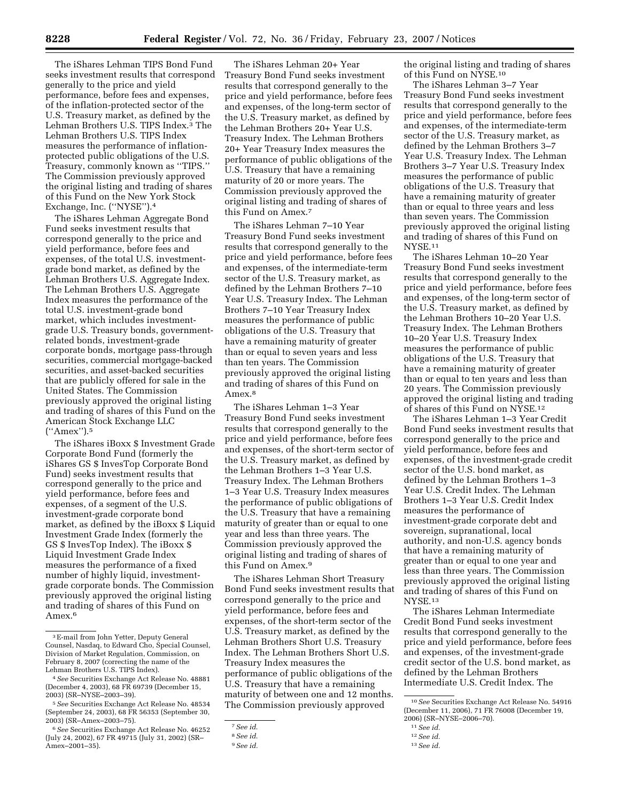The iShares Lehman TIPS Bond Fund seeks investment results that correspond generally to the price and yield performance, before fees and expenses, of the inflation-protected sector of the U.S. Treasury market, as defined by the Lehman Brothers U.S. TIPS Index.3 The Lehman Brothers U.S. TIPS Index measures the performance of inflationprotected public obligations of the U.S. Treasury, commonly known as ''TIPS.'' The Commission previously approved the original listing and trading of shares of this Fund on the New York Stock Exchange, Inc. (''NYSE'').4

The iShares Lehman Aggregate Bond Fund seeks investment results that correspond generally to the price and yield performance, before fees and expenses, of the total U.S. investmentgrade bond market, as defined by the Lehman Brothers U.S. Aggregate Index. The Lehman Brothers U.S. Aggregate Index measures the performance of the total U.S. investment-grade bond market, which includes investmentgrade U.S. Treasury bonds, governmentrelated bonds, investment-grade corporate bonds, mortgage pass-through securities, commercial mortgage-backed securities, and asset-backed securities that are publicly offered for sale in the United States. The Commission previously approved the original listing and trading of shares of this Fund on the American Stock Exchange LLC (''Amex'').5

The iShares iBoxx \$ Investment Grade Corporate Bond Fund (formerly the iShares GS \$ InvesTop Corporate Bond Fund) seeks investment results that correspond generally to the price and yield performance, before fees and expenses, of a segment of the U.S. investment-grade corporate bond market, as defined by the iBoxx \$ Liquid Investment Grade Index (formerly the GS \$ InvesTop Index). The iBoxx \$ Liquid Investment Grade Index measures the performance of a fixed number of highly liquid, investmentgrade corporate bonds. The Commission previously approved the original listing and trading of shares of this Fund on Amex.6

The iShares Lehman 20+ Year Treasury Bond Fund seeks investment results that correspond generally to the price and yield performance, before fees and expenses, of the long-term sector of the U.S. Treasury market, as defined by the Lehman Brothers 20+ Year U.S. Treasury Index. The Lehman Brothers 20+ Year Treasury Index measures the performance of public obligations of the U.S. Treasury that have a remaining maturity of 20 or more years. The Commission previously approved the original listing and trading of shares of this Fund on Amex.7

The iShares Lehman 7–10 Year Treasury Bond Fund seeks investment results that correspond generally to the price and yield performance, before fees and expenses, of the intermediate-term sector of the U.S. Treasury market, as defined by the Lehman Brothers 7–10 Year U.S. Treasury Index. The Lehman Brothers 7–10 Year Treasury Index measures the performance of public obligations of the U.S. Treasury that have a remaining maturity of greater than or equal to seven years and less than ten years. The Commission previously approved the original listing and trading of shares of this Fund on Amex.8

The iShares Lehman 1–3 Year Treasury Bond Fund seeks investment results that correspond generally to the price and yield performance, before fees and expenses, of the short-term sector of the U.S. Treasury market, as defined by the Lehman Brothers 1–3 Year U.S. Treasury Index. The Lehman Brothers 1–3 Year U.S. Treasury Index measures the performance of public obligations of the U.S. Treasury that have a remaining maturity of greater than or equal to one year and less than three years. The Commission previously approved the original listing and trading of shares of this Fund on Amex.9

The iShares Lehman Short Treasury Bond Fund seeks investment results that correspond generally to the price and yield performance, before fees and expenses, of the short-term sector of the U.S. Treasury market, as defined by the Lehman Brothers Short U.S. Treasury Index. The Lehman Brothers Short U.S. Treasury Index measures the performance of public obligations of the U.S. Treasury that have a remaining maturity of between one and 12 months. The Commission previously approved

the original listing and trading of shares of this Fund on NYSE.10

The iShares Lehman 3–7 Year Treasury Bond Fund seeks investment results that correspond generally to the price and yield performance, before fees and expenses, of the intermediate-term sector of the U.S. Treasury market, as defined by the Lehman Brothers 3–7 Year U.S. Treasury Index. The Lehman Brothers 3–7 Year U.S. Treasury Index measures the performance of public obligations of the U.S. Treasury that have a remaining maturity of greater than or equal to three years and less than seven years. The Commission previously approved the original listing and trading of shares of this Fund on NYSE.11

The iShares Lehman 10–20 Year Treasury Bond Fund seeks investment results that correspond generally to the price and yield performance, before fees and expenses, of the long-term sector of the U.S. Treasury market, as defined by the Lehman Brothers 10–20 Year U.S. Treasury Index. The Lehman Brothers 10–20 Year U.S. Treasury Index measures the performance of public obligations of the U.S. Treasury that have a remaining maturity of greater than or equal to ten years and less than 20 years. The Commission previously approved the original listing and trading of shares of this Fund on NYSE.12

The iShares Lehman 1–3 Year Credit Bond Fund seeks investment results that correspond generally to the price and yield performance, before fees and expenses, of the investment-grade credit sector of the U.S. bond market, as defined by the Lehman Brothers 1–3 Year U.S. Credit Index. The Lehman Brothers 1–3 Year U.S. Credit Index measures the performance of investment-grade corporate debt and sovereign, supranational, local authority, and non-U.S. agency bonds that have a remaining maturity of greater than or equal to one year and less than three years. The Commission previously approved the original listing and trading of shares of this Fund on NYSE.13

The iShares Lehman Intermediate Credit Bond Fund seeks investment results that correspond generally to the price and yield performance, before fees and expenses, of the investment-grade credit sector of the U.S. bond market, as defined by the Lehman Brothers Intermediate U.S. Credit Index. The

<sup>3</sup>E-mail from John Yetter, Deputy General Counsel, Nasdaq, to Edward Cho, Special Counsel, Division of Market Regulation, Commission, on February 8, 2007 (correcting the name of the Lehman Brothers U.S. TIPS Index).

<sup>4</sup>*See* Securities Exchange Act Release No. 48881 (December 4, 2003), 68 FR 69739 (December 15, 2003) (SR–NYSE–2003–39).

<sup>5</sup>*See* Securities Exchange Act Release No. 48534 (September 24, 2003), 68 FR 56353 (September 30, 2003) (SR–Amex–2003–75).

<sup>6</sup>*See* Securities Exchange Act Release No. 46252 (July 24, 2002), 67 FR 49715 (July 31, 2002) (SR– Amex–2001–35).

<sup>7</sup>*See id*.

<sup>8</sup>*See id*.

<sup>9</sup>*See id.* 

<sup>10</sup>*See* Securities Exchange Act Release No. 54916 (December 11, 2006), 71 FR 76008 (December 19, 2006) (SR–NYSE–2006–70).

<sup>11</sup>*See id.* 

<sup>12</sup>*See id.* 

<sup>13</sup>*See id.*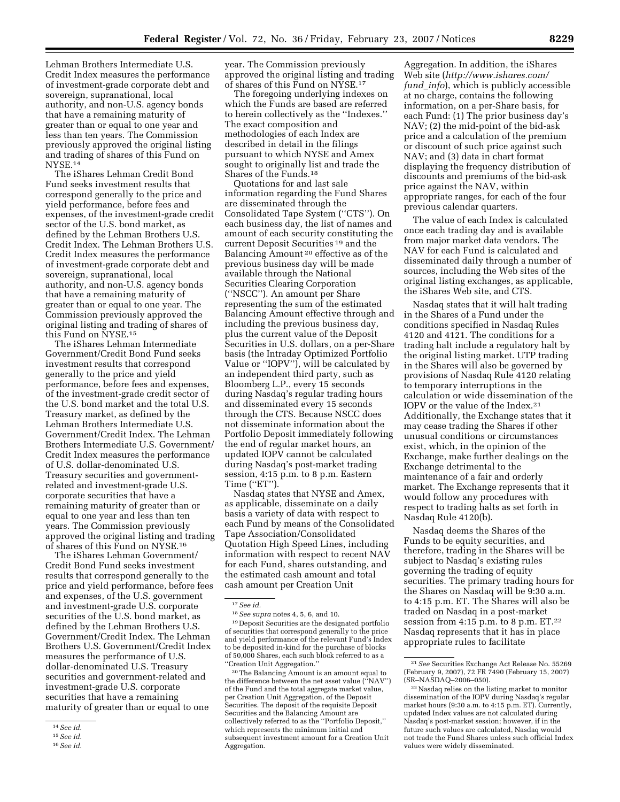Lehman Brothers Intermediate U.S. Credit Index measures the performance of investment-grade corporate debt and sovereign, supranational, local authority, and non-U.S. agency bonds that have a remaining maturity of greater than or equal to one year and less than ten years. The Commission previously approved the original listing and trading of shares of this Fund on NYSE.14

The iShares Lehman Credit Bond Fund seeks investment results that correspond generally to the price and yield performance, before fees and expenses, of the investment-grade credit sector of the U.S. bond market, as defined by the Lehman Brothers U.S. Credit Index. The Lehman Brothers U.S. Credit Index measures the performance of investment-grade corporate debt and sovereign, supranational, local authority, and non-U.S. agency bonds that have a remaining maturity of greater than or equal to one year. The Commission previously approved the original listing and trading of shares of this Fund on NYSE.15

The iShares Lehman Intermediate Government/Credit Bond Fund seeks investment results that correspond generally to the price and yield performance, before fees and expenses, of the investment-grade credit sector of the U.S. bond market and the total U.S. Treasury market, as defined by the Lehman Brothers Intermediate U.S. Government/Credit Index. The Lehman Brothers Intermediate U.S. Government/ Credit Index measures the performance of U.S. dollar-denominated U.S. Treasury securities and governmentrelated and investment-grade U.S. corporate securities that have a remaining maturity of greater than or equal to one year and less than ten years. The Commission previously approved the original listing and trading of shares of this Fund on NYSE.16

The iShares Lehman Government/ Credit Bond Fund seeks investment results that correspond generally to the price and yield performance, before fees and expenses, of the U.S. government and investment-grade U.S. corporate securities of the U.S. bond market, as defined by the Lehman Brothers U.S. Government/Credit Index. The Lehman Brothers U.S. Government/Credit Index measures the performance of U.S. dollar-denominated U.S. Treasury securities and government-related and investment-grade U.S. corporate securities that have a remaining maturity of greater than or equal to one

16*See id.* 

year. The Commission previously approved the original listing and trading of shares of this Fund on NYSE.17

The foregoing underlying indexes on which the Funds are based are referred to herein collectively as the ''Indexes.'' The exact composition and methodologies of each Index are described in detail in the filings pursuant to which NYSE and Amex sought to originally list and trade the Shares of the Funds.18

Quotations for and last sale information regarding the Fund Shares are disseminated through the Consolidated Tape System (''CTS''). On each business day, the list of names and amount of each security constituting the current Deposit Securities 19 and the Balancing Amount 20 effective as of the previous business day will be made available through the National Securities Clearing Corporation (''NSCC''). An amount per Share representing the sum of the estimated Balancing Amount effective through and including the previous business day, plus the current value of the Deposit Securities in U.S. dollars, on a per-Share basis (the Intraday Optimized Portfolio Value or ''IOPV''), will be calculated by an independent third party, such as Bloomberg L.P., every 15 seconds during Nasdaq's regular trading hours and disseminated every 15 seconds through the CTS. Because NSCC does not disseminate information about the Portfolio Deposit immediately following the end of regular market hours, an updated IOPV cannot be calculated during Nasdaq's post-market trading session, 4:15 p.m. to 8 p.m. Eastern Time ("ET").

Nasdaq states that NYSE and Amex, as applicable, disseminate on a daily basis a variety of data with respect to each Fund by means of the Consolidated Tape Association/Consolidated Quotation High Speed Lines, including information with respect to recent NAV for each Fund, shares outstanding, and the estimated cash amount and total cash amount per Creation Unit

19 Deposit Securities are the designated portfolio of securities that correspond generally to the price and yield performance of the relevant Fund's Index to be deposited in-kind for the purchase of blocks of 50,000 Shares, each such block referred to as a ''Creation Unit Aggregation.''

20The Balancing Amount is an amount equal to the difference between the net asset value (''NAV'') of the Fund and the total aggregate market value, per Creation Unit Aggregation, of the Deposit Securities. The deposit of the requisite Deposit Securities and the Balancing Amount are collectively referred to as the ''Portfolio Deposit,'' which represents the minimum initial and subsequent investment amount for a Creation Unit Aggregation.

Aggregation. In addition, the iShares Web site (*http://www.ishares.com/ fund*\_*info*), which is publicly accessible at no charge, contains the following information, on a per-Share basis, for each Fund: (1) The prior business day's NAV; (2) the mid-point of the bid-ask price and a calculation of the premium or discount of such price against such NAV; and (3) data in chart format displaying the frequency distribution of discounts and premiums of the bid-ask price against the NAV, within appropriate ranges, for each of the four previous calendar quarters.

The value of each Index is calculated once each trading day and is available from major market data vendors. The NAV for each Fund is calculated and disseminated daily through a number of sources, including the Web sites of the original listing exchanges, as applicable, the iShares Web site, and CTS.

Nasdaq states that it will halt trading in the Shares of a Fund under the conditions specified in Nasdaq Rules 4120 and 4121. The conditions for a trading halt include a regulatory halt by the original listing market. UTP trading in the Shares will also be governed by provisions of Nasdaq Rule 4120 relating to temporary interruptions in the calculation or wide dissemination of the IOPV or the value of the Index.21 Additionally, the Exchange states that it may cease trading the Shares if other unusual conditions or circumstances exist, which, in the opinion of the Exchange, make further dealings on the Exchange detrimental to the maintenance of a fair and orderly market. The Exchange represents that it would follow any procedures with respect to trading halts as set forth in Nasdaq Rule 4120(b).

Nasdaq deems the Shares of the Funds to be equity securities, and therefore, trading in the Shares will be subject to Nasdaq's existing rules governing the trading of equity securities. The primary trading hours for the Shares on Nasdaq will be 9:30 a.m. to 4:15 p.m. ET. The Shares will also be traded on Nasdaq in a post-market session from 4:15 p.m. to 8 p.m. ET.22 Nasdaq represents that it has in place appropriate rules to facilitate

<sup>14</sup>*See id.* 

<sup>15</sup>*See id.* 

<sup>17</sup>*See id.* 

<sup>18</sup>*See supra* notes 4, 5, 6, and 10.

<sup>21</sup>*See* Securities Exchange Act Release No. 55269 (February 9, 2007), 72 FR 7490 (February 15, 2007) (SR–NASDAQ–2006–050).

<sup>22</sup>Nasdaq relies on the listing market to monitor dissemination of the IOPV during Nasdaq's regular market hours (9:30 a.m. to 4:15 p.m. ET). Currently, updated Index values are not calculated during Nasdaq's post-market session; however, if in the future such values are calculated, Nasdaq would not trade the Fund Shares unless such official Index values were widely disseminated.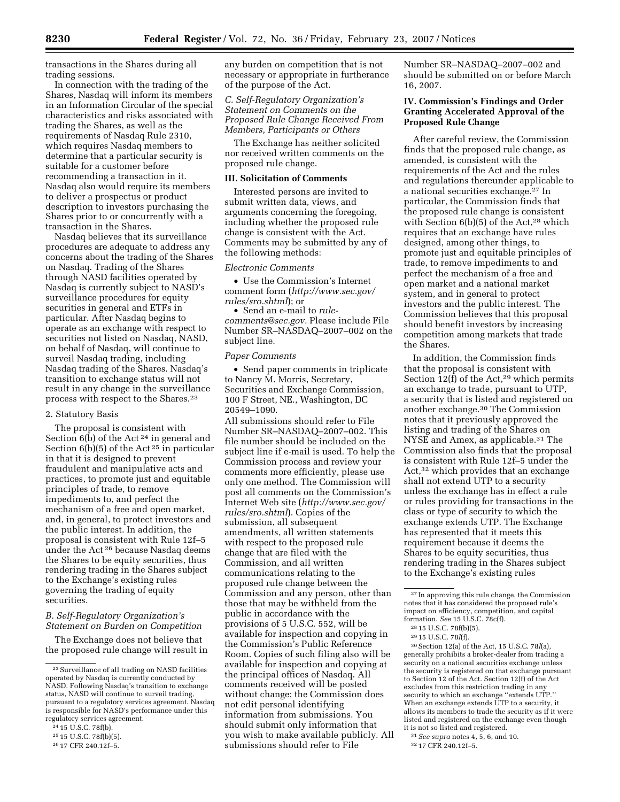transactions in the Shares during all trading sessions.

In connection with the trading of the Shares, Nasdaq will inform its members in an Information Circular of the special characteristics and risks associated with trading the Shares, as well as the requirements of Nasdaq Rule 2310, which requires Nasdaq members to determine that a particular security is suitable for a customer before recommending a transaction in it. Nasdaq also would require its members to deliver a prospectus or product description to investors purchasing the Shares prior to or concurrently with a transaction in the Shares.

Nasdaq believes that its surveillance procedures are adequate to address any concerns about the trading of the Shares on Nasdaq. Trading of the Shares through NASD facilities operated by Nasdaq is currently subject to NASD's surveillance procedures for equity securities in general and ETFs in particular. After Nasdaq begins to operate as an exchange with respect to securities not listed on Nasdaq, NASD, on behalf of Nasdaq, will continue to surveil Nasdaq trading, including Nasdaq trading of the Shares. Nasdaq's transition to exchange status will not result in any change in the surveillance process with respect to the Shares.23

#### 2. Statutory Basis

The proposal is consistent with Section  $6(b)$  of the Act<sup>24</sup> in general and Section  $6(b)(5)$  of the Act<sup>25</sup> in particular in that it is designed to prevent fraudulent and manipulative acts and practices, to promote just and equitable principles of trade, to remove impediments to, and perfect the mechanism of a free and open market, and, in general, to protect investors and the public interest. In addition, the proposal is consistent with Rule 12f–5 under the Act 26 because Nasdaq deems the Shares to be equity securities, thus rendering trading in the Shares subject to the Exchange's existing rules governing the trading of equity securities.

## *B. Self-Regulatory Organization's Statement on Burden on Competition*

The Exchange does not believe that the proposed rule change will result in any burden on competition that is not necessary or appropriate in furtherance of the purpose of the Act.

# *C. Self-Regulatory Organization's Statement on Comments on the Proposed Rule Change Received From Members, Participants or Others*

The Exchange has neither solicited nor received written comments on the proposed rule change.

## **III. Solicitation of Comments**

Interested persons are invited to submit written data, views, and arguments concerning the foregoing, including whether the proposed rule change is consistent with the Act. Comments may be submitted by any of the following methods:

#### *Electronic Comments*

• Use the Commission's Internet comment form (*http://www.sec.gov/ rules/sro.shtml*); or

• Send an e-mail to *rulecomments@sec.gov.* Please include File Number SR–NASDAQ–2007–002 on the subject line.

### *Paper Comments*

• Send paper comments in triplicate to Nancy M. Morris, Secretary, Securities and Exchange Commission, 100 F Street, NE., Washington, DC 20549–1090.

All submissions should refer to File Number SR–NASDAQ–2007–002. This file number should be included on the subject line if e-mail is used. To help the Commission process and review your comments more efficiently, please use only one method. The Commission will post all comments on the Commission's Internet Web site (*http://www.sec.gov/ rules/sro.shtml*). Copies of the submission, all subsequent amendments, all written statements with respect to the proposed rule change that are filed with the Commission, and all written communications relating to the proposed rule change between the Commission and any person, other than those that may be withheld from the public in accordance with the provisions of 5 U.S.C. 552, will be available for inspection and copying in the Commission's Public Reference Room. Copies of such filing also will be available for inspection and copying at the principal offices of Nasdaq. All comments received will be posted without change; the Commission does not edit personal identifying information from submissions. You should submit only information that you wish to make available publicly. All submissions should refer to File

Number SR–NASDAQ–2007–002 and should be submitted on or before March 16, 2007.

# **IV. Commission's Findings and Order Granting Accelerated Approval of the Proposed Rule Change**

After careful review, the Commission finds that the proposed rule change, as amended, is consistent with the requirements of the Act and the rules and regulations thereunder applicable to a national securities exchange.27 In particular, the Commission finds that the proposed rule change is consistent with Section 6(b)(5) of the Act,<sup>28</sup> which requires that an exchange have rules designed, among other things, to promote just and equitable principles of trade, to remove impediments to and perfect the mechanism of a free and open market and a national market system, and in general to protect investors and the public interest. The Commission believes that this proposal should benefit investors by increasing competition among markets that trade the Shares.

In addition, the Commission finds that the proposal is consistent with Section 12(f) of the Act,<sup>29</sup> which permits an exchange to trade, pursuant to UTP, a security that is listed and registered on another exchange.30 The Commission notes that it previously approved the listing and trading of the Shares on NYSE and Amex, as applicable.<sup>31</sup> The Commission also finds that the proposal is consistent with Rule 12f–5 under the Act,32 which provides that an exchange shall not extend UTP to a security unless the exchange has in effect a rule or rules providing for transactions in the class or type of security to which the exchange extends UTP. The Exchange has represented that it meets this requirement because it deems the Shares to be equity securities, thus rendering trading in the Shares subject to the Exchange's existing rules

30Section 12(a) of the Act, 15 U.S.C. 78*l*(a), generally prohibits a broker-dealer from trading a security on a national securities exchange unless the security is registered on that exchange pursuant to Section 12 of the Act. Section 12(f) of the Act excludes from this restriction trading in any security to which an exchange "extends UTP." When an exchange extends UTP to a security, it allows its members to trade the security as if it were listed and registered on the exchange even though it is not so listed and registered.

<sup>23</sup>Surveillance of all trading on NASD facilities operated by Nasdaq is currently conducted by NASD. Following Nasdaq's transition to exchange status, NASD will continue to surveil trading, pursuant to a regulatory services agreement. Nasdaq is responsible for NASD's performance under this regulatory services agreement.

<sup>24</sup> 15 U.S.C. 78f(b).

<sup>25</sup> 15 U.S.C. 78f(b)(5).

<sup>26</sup> 17 CFR 240.12f–5.

 $^{\rm 27}$  In approving this rule change, the Commission notes that it has considered the proposed rule's impact on efficiency, competition, and capital formation. *See* 15 U.S.C. 78c(f).

<sup>28</sup> 15 U.S.C. 78f(b)(5).

<sup>29</sup> 15 U.S.C. 78*l*(f).

<sup>31</sup>*See supra* notes 4, 5, 6, and 10.

<sup>32</sup> 17 CFR 240.12f–5.